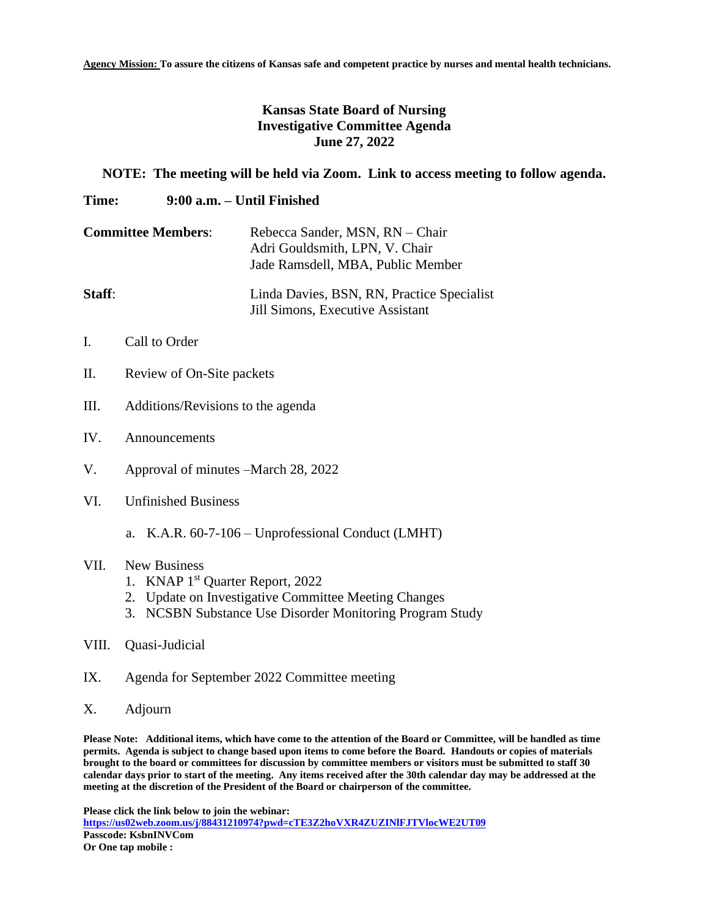**Agency Mission: To assure the citizens of Kansas safe and competent practice by nurses and mental health technicians.**

## **Kansas State Board of Nursing Investigative Committee Agenda June 27, 2022**

## **NOTE: The meeting will be held via Zoom. Link to access meeting to follow agenda.**

## **Time: 9:00 a.m. – Until Finished**

| <b>Committee Members:</b> | Rebecca Sander, MSN, RN - Chair<br>Adri Gouldsmith, LPN, V. Chair<br>Jade Ramsdell, MBA, Public Member |
|---------------------------|--------------------------------------------------------------------------------------------------------|
| Staff:                    | Linda Davies, BSN, RN, Practice Specialist<br>Jill Simons, Executive Assistant                         |

- I. Call to Order
- II. Review of On-Site packets
- III. Additions/Revisions to the agenda
- IV. Announcements
- V. Approval of minutes –March 28, 2022
- VI. Unfinished Business
	- a. K.A.R. 60-7-106 Unprofessional Conduct (LMHT)

## VII. New Business

- 1. KNAP 1st Quarter Report, 2022
- 2. Update on Investigative Committee Meeting Changes
- 3. NCSBN Substance Use Disorder Monitoring Program Study
- VIII. Quasi-Judicial
- IX. Agenda for September 2022 Committee meeting
- X. Adjourn

**Please Note: Additional items, which have come to the attention of the Board or Committee, will be handled as time permits. Agenda is subject to change based upon items to come before the Board. Handouts or copies of materials brought to the board or committees for discussion by committee members or visitors must be submitted to staff 30 calendar days prior to start of the meeting. Any items received after the 30th calendar day may be addressed at the meeting at the discretion of the President of the Board or chairperson of the committee.**

**Please click the link below to join the webinar: <https://us02web.zoom.us/j/88431210974?pwd=cTE3Z2hoVXR4ZUZINlFJTVlocWE2UT09> Passcode: KsbnINVCom Or One tap mobile :**